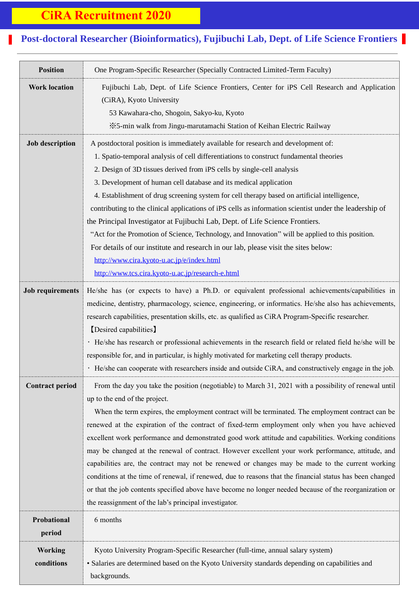## **CiRA Recruitment 2020**

## **Post-doctoral Researcher (Bioinformatics), Fujibuchi Lab, Dept. of Life Science Frontiers**

 $\mathcal{F}^{\mathcal{F}}_{\mathcal{F}}$ 

| <b>Position</b>              | One Program-Specific Researcher (Specially Contracted Limited-Term Faculty)                                                                                                                                                                                                                                                                                                                                                                                                                                                                                                                                                                                                                                                                                                                                                                                                                                                                 |
|------------------------------|---------------------------------------------------------------------------------------------------------------------------------------------------------------------------------------------------------------------------------------------------------------------------------------------------------------------------------------------------------------------------------------------------------------------------------------------------------------------------------------------------------------------------------------------------------------------------------------------------------------------------------------------------------------------------------------------------------------------------------------------------------------------------------------------------------------------------------------------------------------------------------------------------------------------------------------------|
| <b>Work location</b>         | Fujibuchi Lab, Dept. of Life Science Frontiers, Center for iPS Cell Research and Application<br>(CiRA), Kyoto University<br>53 Kawahara-cho, Shogoin, Sakyo-ku, Kyoto<br>*5-min walk from Jingu-marutamachi Station of Keihan Electric Railway                                                                                                                                                                                                                                                                                                                                                                                                                                                                                                                                                                                                                                                                                              |
| <b>Job description</b>       | A postdoctoral position is immediately available for research and development of:<br>1. Spatio-temporal analysis of cell differentiations to construct fundamental theories<br>2. Design of 3D tissues derived from iPS cells by single-cell analysis<br>3. Development of human cell database and its medical application<br>4. Establishment of drug screening system for cell therapy based on artificial intelligence,<br>contributing to the clinical applications of iPS cells as information scientist under the leadership of<br>the Principal Investigator at Fujibuchi Lab, Dept. of Life Science Frontiers.<br>"Act for the Promotion of Science, Technology, and Innovation" will be applied to this position.<br>For details of our institute and research in our lab, please visit the sites below:<br>http://www.cira.kyoto-u.ac.jp/e/index.html<br>http://www.tcs.cira.kyoto-u.ac.jp/research-e.html                        |
| <b>Job requirements</b>      | He/she has (or expects to have) a Ph.D. or equivalent professional achievements/capabilities in<br>medicine, dentistry, pharmacology, science, engineering, or informatics. He/she also has achievements,<br>research capabilities, presentation skills, etc. as qualified as CiRA Program-Specific researcher.<br>[Desired capabilities]<br>· He/she has research or professional achievements in the research field or related field he/she will be<br>responsible for, and in particular, is highly motivated for marketing cell therapy products.<br>· He/she can cooperate with researchers inside and outside CiRA, and constructively engage in the job.                                                                                                                                                                                                                                                                             |
| <b>Contract period</b>       | From the day you take the position (negotiable) to March 31, 2021 with a possibility of renewal until<br>up to the end of the project.<br>When the term expires, the employment contract will be terminated. The employment contract can be<br>renewed at the expiration of the contract of fixed-term employment only when you have achieved<br>excellent work performance and demonstrated good work attitude and capabilities. Working conditions<br>may be changed at the renewal of contract. However excellent your work performance, attitude, and<br>capabilities are, the contract may not be renewed or changes may be made to the current working<br>conditions at the time of renewal, if renewed, due to reasons that the financial status has been changed<br>or that the job contents specified above have become no longer needed because of the reorganization or<br>the reassignment of the lab's principal investigator. |
| Probational<br>period        | 6 months                                                                                                                                                                                                                                                                                                                                                                                                                                                                                                                                                                                                                                                                                                                                                                                                                                                                                                                                    |
| <b>Working</b><br>conditions | Kyoto University Program-Specific Researcher (full-time, annual salary system)<br>· Salaries are determined based on the Kyoto University standards depending on capabilities and<br>backgrounds.                                                                                                                                                                                                                                                                                                                                                                                                                                                                                                                                                                                                                                                                                                                                           |